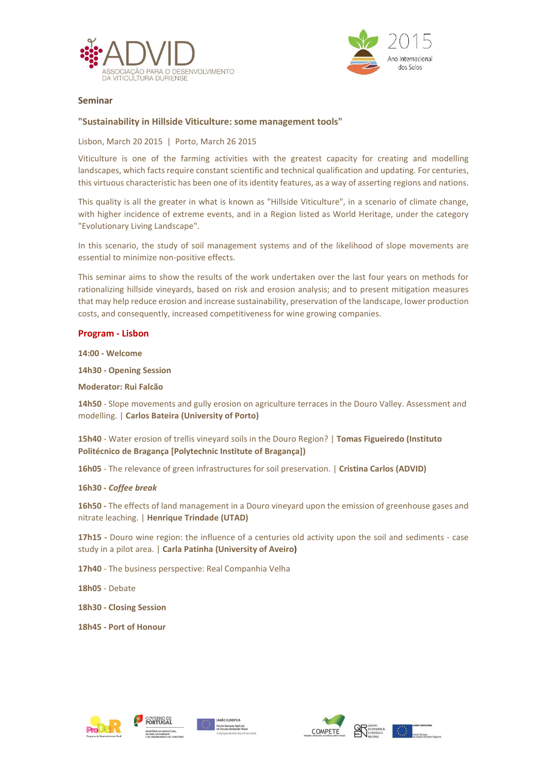



# Seminar

# "Sustainability in Hillside Viticulture: some management tools"

Lisbon, March 20 2015 | Porto, March 26 2015

Viticulture is one of the farming activities with the greatest capacity for creating and modelling landscapes, which facts require constant scientific and technical qualification and updating. For centuries, this virtuous characteristic has been one of its identity features, as a way of asserting regions and nations.

This quality is all the greater in what is known as "Hillside Viticulture", in a scenario of climate change, with higher incidence of extreme events, and in a Region listed as World Heritage, under the category "Evolutionary Living Landscape".

In this scenario, the study of soil management systems and of the likelihood of slope movements are essential to minimize non-positive effects.

This seminar aims to show the results of the work undertaken over the last four years on methods for rationalizing hillside vineyards, based on risk and erosion analysis; and to present mitigation measures that may help reduce erosion and increase sustainability, preservation of the landscape, lower production costs, and consequently, increased competitiveness for wine growing companies.

### Program - Lisbon

14:00 - Welcome

14h30 - Opening Session

Moderator: Rui Falcão

14h50 - Slope movements and gully erosion on agriculture terraces in the Douro Valley. Assessment and modelling. | Carlos Bateira (University of Porto)

15h40 - Water erosion of trellis vineyard soils in the Douro Region? | Tomas Figueiredo (Instituto Politécnico de Bragança [Polytechnic Institute of Bragança])

16h05 - The relevance of green infrastructures for soil preservation. | Cristina Carlos (ADVID)

# 16h30 - *Coffee break*

16h50 - The effects of land management in a Douro vineyard upon the emission of greenhouse gases and nitrate leaching. | Henrique Trindade (UTAD)

17h15 - Douro wine region: the influence of a centuries old activity upon the soil and sediments - case study in a pilot area. | Carla Patinha (University of Aveiro)

17h40 - The business perspective: Real Companhia Velha

18h05 - Debate

18h30 - Closing Session

18h45 - Port of Honour